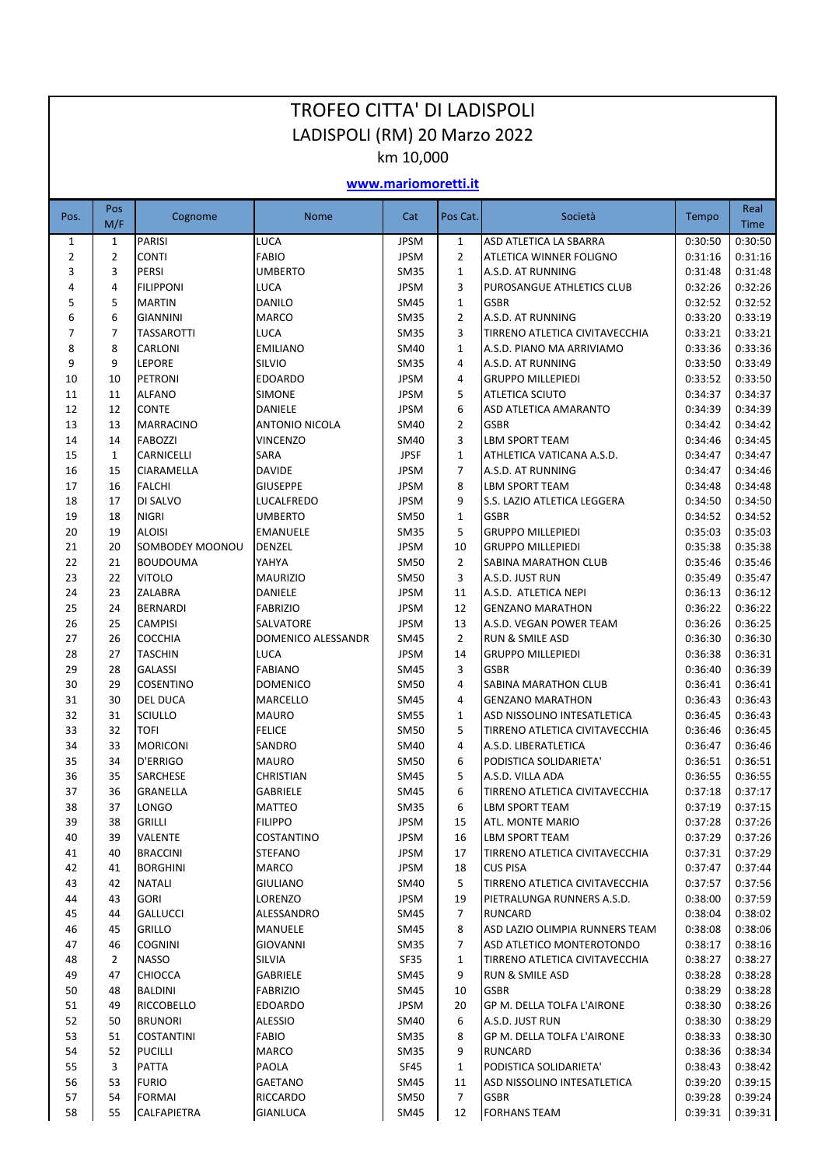| <b>TROFEO CITTA' DI LADISPOLI</b> |                     |                                     |                                  |                            |                                |                                                        |                    |                     |  |  |
|-----------------------------------|---------------------|-------------------------------------|----------------------------------|----------------------------|--------------------------------|--------------------------------------------------------|--------------------|---------------------|--|--|
| LADISPOLI (RM) 20 Marzo 2022      |                     |                                     |                                  |                            |                                |                                                        |                    |                     |  |  |
| km 10,000                         |                     |                                     |                                  |                            |                                |                                                        |                    |                     |  |  |
| www.mariomoretti.it               |                     |                                     |                                  |                            |                                |                                                        |                    |                     |  |  |
| Pos.                              | Pos<br>M/F          | Cognome                             | <b>Nome</b>                      | Cat                        | Pos Cat.                       | Società                                                | Tempo              | Real<br><b>Time</b> |  |  |
| $\mathbf{1}$                      | $\mathbf{1}$        | <b>PARISI</b>                       | LUCA                             | <b>JPSM</b>                | $\mathbf{1}$                   | ASD ATLETICA LA SBARRA                                 | 0:30:50            | 0:30:50             |  |  |
| 2<br>3                            | $\overline{2}$<br>3 | <b>CONTI</b><br><b>PERSI</b>        | <b>FABIO</b><br><b>UMBERTO</b>   | <b>JPSM</b><br><b>SM35</b> | $\overline{2}$<br>$\mathbf{1}$ | ATLETICA WINNER FOLIGNO<br>A.S.D. AT RUNNING           | 0:31:16<br>0:31:48 | 0:31:16<br>0:31:48  |  |  |
| 4                                 | 4                   | <b>FILIPPONI</b>                    | <b>LUCA</b>                      | <b>JPSM</b>                | 3                              | PUROSANGUE ATHLETICS CLUB                              | 0:32:26            | 0:32:26             |  |  |
| 5                                 | 5                   | <b>MARTIN</b>                       | <b>DANILO</b>                    | SM45                       | 1                              | <b>GSBR</b>                                            | 0:32:52            | 0:32:52             |  |  |
| 6                                 | 6                   | <b>GIANNINI</b>                     | <b>MARCO</b>                     | <b>SM35</b>                | $\overline{2}$                 | A.S.D. AT RUNNING                                      | 0:33:20            | 0:33:19             |  |  |
| 7                                 | $\overline{7}$      | <b>TASSAROTTI</b>                   | <b>LUCA</b>                      | <b>SM35</b>                | 3                              | TIRRENO ATLETICA CIVITAVECCHIA                         | 0:33:21            | 0:33:21             |  |  |
| 8                                 | 8                   | <b>CARLONI</b>                      | <b>EMILIANO</b>                  | <b>SM40</b>                | $\mathbf{1}$                   | A.S.D. PIANO MA ARRIVIAMO                              | 0:33:36            | 0:33:36             |  |  |
| 9                                 | 9                   | <b>LEPORE</b>                       | <b>SILVIO</b>                    | <b>SM35</b>                | $\overline{4}$                 | A.S.D. AT RUNNING                                      | 0:33:50            | 0:33:49             |  |  |
| 10                                | 10                  | PETRONI                             | <b>EDOARDO</b>                   | <b>JPSM</b>                | 4                              | <b>GRUPPO MILLEPIEDI</b>                               | 0:33:52            | 0:33:50             |  |  |
| 11<br>12                          | 11<br>12            | <b>ALFANO</b><br><b>CONTE</b>       | <b>SIMONE</b><br><b>DANIELE</b>  | <b>JPSM</b><br><b>JPSM</b> | 5<br>6                         | <b>ATLETICA SCIUTO</b><br><b>ASD ATLETICA AMARANTO</b> | 0:34:37<br>0:34:39 | 0:34:37<br>0:34:39  |  |  |
| 13                                | 13                  | <b>MARRACINO</b>                    | <b>ANTONIO NICOLA</b>            | SM40                       | $\overline{2}$                 | <b>GSBR</b>                                            | 0:34:42            | 0:34:42             |  |  |
| 14                                | 14                  | <b>FABOZZI</b>                      | <b>VINCENZO</b>                  | <b>SM40</b>                | 3                              | <b>LBM SPORT TEAM</b>                                  | 0:34:46            | 0:34:45             |  |  |
| 15                                | $\mathbf{1}$        | CARNICELLI                          | SARA                             | <b>JPSF</b>                | $\mathbf{1}$                   | ATHLETICA VATICANA A.S.D.                              | 0:34:47            | 0:34:47             |  |  |
| 16                                | 15                  | <b>CIARAMELLA</b>                   | <b>DAVIDE</b>                    | <b>JPSM</b>                | $\overline{7}$                 | A.S.D. AT RUNNING                                      | 0:34:47            | 0:34:46             |  |  |
| 17                                | 16                  | <b>FALCHI</b>                       | <b>GIUSEPPE</b>                  | <b>JPSM</b>                | 8                              | <b>LBM SPORT TEAM</b>                                  | 0:34:48            | 0:34:48             |  |  |
| 18                                | 17                  | DI SALVO                            | LUCALFREDO                       | <b>JPSM</b>                | 9                              | S.S. LAZIO ATLETICA LEGGERA                            | 0:34:50            | 0:34:50             |  |  |
| 19                                | 18                  | <b>NIGRI</b>                        | <b>UMBERTO</b>                   | <b>SM50</b>                | $\mathbf{1}$                   | <b>GSBR</b>                                            | 0:34:52            | 0:34:52             |  |  |
| 20                                | 19                  | <b>ALOISI</b>                       | <b>EMANUELE</b>                  | <b>SM35</b>                | 5                              | <b>GRUPPO MILLEPIEDI</b>                               | 0:35:03            | 0:35:03             |  |  |
| 21<br>22                          | 20<br>21            | SOMBODEY MOONOU<br><b>BOUDOUMA</b>  | <b>DENZEL</b><br>YAHYA           | <b>JPSM</b><br><b>SM50</b> | 10<br>$\overline{2}$           | <b>GRUPPO MILLEPIEDI</b><br>SABINA MARATHON CLUB       | 0:35:38<br>0:35:46 | 0:35:38<br>0:35:46  |  |  |
| 23                                | 22                  | <b>VITOLO</b>                       | <b>MAURIZIO</b>                  | <b>SM50</b>                | 3                              | A.S.D. JUST RUN                                        | 0:35:49            | 0:35:47             |  |  |
| 24                                | 23                  | <b>ZALABRA</b>                      | DANIELE                          | <b>JPSM</b>                | 11                             | A.S.D. ATLETICA NEPI                                   | 0:36:13            | 0:36:12             |  |  |
| 25                                | 24                  | <b>BERNARDI</b>                     | <b>FABRIZIO</b>                  | <b>JPSM</b>                | 12                             | <b>GENZANO MARATHON</b>                                | 0:36:22            | 0:36:22             |  |  |
| 26                                | 25                  | <b>CAMPISI</b>                      | SALVATORE                        | <b>JPSM</b>                | 13                             | A.S.D. VEGAN POWER TEAM                                | 0:36:26            | 0:36:25             |  |  |
| 27                                | 26                  | <b>COCCHIA</b>                      | DOMENICO ALESSANDR               | SM45                       | $\overline{2}$                 | <b>RUN &amp; SMILE ASD</b>                             | 0:36:30            | 0:36:30             |  |  |
| 28                                | 27                  | <b>TASCHIN</b>                      | <b>LUCA</b>                      | <b>JPSM</b>                | 14                             | <b>GRUPPO MILLEPIEDI</b>                               | 0:36:38            | 0:36:31             |  |  |
| 29                                | 28                  | <b>GALASSI</b>                      | <b>FABIANO</b>                   | SM45                       | 3                              | <b>GSBR</b>                                            | 0:36:40            | 0:36:39             |  |  |
| 30                                | 29                  | <b>COSENTINO</b>                    | <b>DOMENICO</b>                  | <b>SM50</b>                | 4                              | SABINA MARATHON CLUB                                   | 0:36:41            | 0:36:41             |  |  |
| 31<br>32                          | 30<br>31            | <b>DEL DUCA</b><br><b>SCIULLO</b>   | <b>MARCELLO</b><br><b>MAURO</b>  | SM45<br><b>SM55</b>        | 4<br>$\mathbf{1}$              | <b>GENZANO MARATHON</b><br>ASD NISSOLINO INTESATLETICA | 0:36:43<br>0:36:45 | 0:36:43<br>0:36:43  |  |  |
| 33                                | 32                  | <b>TOFI</b>                         | <b>FELICE</b>                    | SM50                       | 5                              | TIRRENO ATLETICA CIVITAVECCHIA                         | 0:36:46            | 0:36:45             |  |  |
| 34                                | 33                  | <b>MORICONI</b>                     | SANDRO                           | <b>SM40</b>                | 4                              | A.S.D. LIBERATLETICA                                   | 0:36:47            | 0:36:46             |  |  |
| 35                                | 34                  | D'ERRIGO                            | <b>MAURO</b>                     | <b>SM50</b>                | 6                              | PODISTICA SOLIDARIETA'                                 | 0:36:51            | 0:36:51             |  |  |
| 36                                | 35                  | <b>SARCHESE</b>                     | CHRISTIAN                        | <b>SM45</b>                | 5                              | A.S.D. VILLA ADA                                       | 0:36:55            | 0:36:55             |  |  |
| 37                                | 36                  | <b>GRANELLA</b>                     | <b>GABRIELE</b>                  | SM45                       | 6                              | TIRRENO ATLETICA CIVITAVECCHIA                         | 0:37:18            | 0:37:17             |  |  |
| 38                                | 37                  | <b>LONGO</b>                        | MATTEO                           | <b>SM35</b>                | 6                              | LBM SPORT TEAM                                         | 0:37:19            | 0:37:15             |  |  |
| 39                                | 38                  | <b>GRILLI</b>                       | <b>FILIPPO</b>                   | <b>JPSM</b>                | 15                             | ATL. MONTE MARIO                                       | 0:37:28            | 0:37:26             |  |  |
| 40                                | 39                  | <b>VALENTE</b>                      | <b>COSTANTINO</b>                | <b>JPSM</b>                | 16                             | <b>LBM SPORT TEAM</b>                                  | 0:37:29            | 0:37:26             |  |  |
| 41<br>42                          | 40<br>41            | <b>BRACCINI</b><br><b>BORGHINI</b>  | STEFANO<br>MARCO                 | <b>JPSM</b><br><b>JPSM</b> | 17<br>18                       | TIRRENO ATLETICA CIVITAVECCHIA<br><b>CUS PISA</b>      | 0:37:31<br>0:37:47 | 0:37:29<br>0:37:44  |  |  |
| 43                                | 42                  | <b>NATALI</b>                       | GIULIANO                         | SM40                       | 5                              | TIRRENO ATLETICA CIVITAVECCHIA                         | 0:37:57            | 0:37:56             |  |  |
| 44                                | 43                  | <b>GORI</b>                         | LORENZO                          | <b>JPSM</b>                | 19                             | PIETRALUNGA RUNNERS A.S.D.                             | 0:38:00            | 0:37:59             |  |  |
| 45                                | 44                  | <b>GALLUCCI</b>                     | ALESSANDRO                       | <b>SM45</b>                | $\overline{7}$                 | RUNCARD                                                | 0:38:04            | 0:38:02             |  |  |
| 46                                | 45                  | <b>GRILLO</b>                       | <b>MANUELE</b>                   | <b>SM45</b>                | 8                              | ASD LAZIO OLIMPIA RUNNERS TEAM                         | 0:38:08            | 0:38:06             |  |  |
| 47                                | 46                  | <b>COGNINI</b>                      | GIOVANNI                         | <b>SM35</b>                | $\overline{7}$                 | ASD ATLETICO MONTEROTONDO                              | 0:38:17            | 0:38:16             |  |  |
| 48                                | $\overline{2}$      | <b>NASSO</b>                        | SILVIA                           | <b>SF35</b>                | $\mathbf{1}$                   | TIRRENO ATLETICA CIVITAVECCHIA                         | 0:38:27            | 0:38:27             |  |  |
| 49                                | 47                  | <b>CHIOCCA</b>                      | <b>GABRIELE</b>                  | <b>SM45</b>                | 9                              | RUN & SMILE ASD                                        | 0:38:28            | 0:38:28             |  |  |
| 50                                | 48                  | <b>BALDINI</b>                      | <b>FABRIZIO</b>                  | SM45                       | 10                             | <b>GSBR</b>                                            | 0:38:29            | 0:38:28             |  |  |
| 51<br>52                          | 49<br>50            | <b>RICCOBELLO</b><br><b>BRUNORI</b> | <b>EDOARDO</b><br><b>ALESSIO</b> | <b>JPSM</b><br>SM40        | 20<br>6                        | GP M. DELLA TOLFA L'AIRONE<br>A.S.D. JUST RUN          | 0:38:30<br>0:38:30 | 0:38:26<br>0:38:29  |  |  |
| 53                                | 51                  | <b>COSTANTINI</b>                   | <b>FABIO</b>                     | <b>SM35</b>                | 8                              | GP M. DELLA TOLFA L'AIRONE                             | 0:38:33            | 0:38:30             |  |  |
| 54                                | 52                  | <b>PUCILLI</b>                      | MARCO                            | SM35                       | 9                              | RUNCARD                                                | 0:38:36            | 0:38:34             |  |  |
| 55                                | 3                   | PATTA                               | <b>PAOLA</b>                     | SF45                       | $\mathbf{1}$                   | PODISTICA SOLIDARIETA'                                 | 0:38:43            | 0:38:42             |  |  |
| 56                                | 53                  | <b>FURIO</b>                        | <b>GAETANO</b>                   | <b>SM45</b>                | 11                             | ASD NISSOLINO INTESATLETICA                            | 0:39:20            | 0:39:15             |  |  |
| 57                                | 54                  | FORMAI                              | <b>RICCARDO</b>                  | SM50                       | $\overline{7}$                 | <b>GSBR</b>                                            | 0:39:28            | 0:39:24             |  |  |
| 58                                | 55                  | CALFAPIETRA                         | <b>GIANLUCA</b>                  | <b>SM45</b>                | 12                             | <b>FORHANS TEAM</b>                                    | 0:39:31            | 0:39:31             |  |  |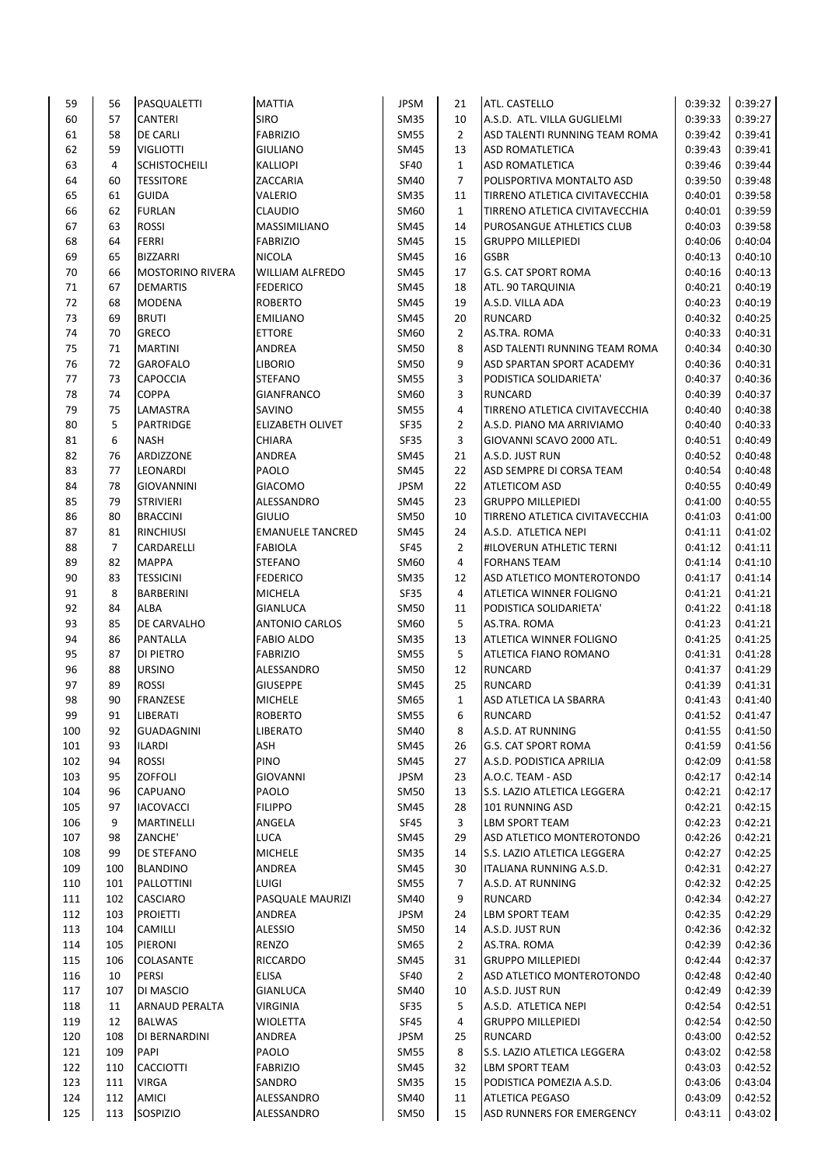| 59  | 56             | PASQUALETTI             | <b>MATTIA</b>                 | JPSM        | 21             | ATL. CASTELLO                  | 0:39:32 | 0:39:27 |
|-----|----------------|-------------------------|-------------------------------|-------------|----------------|--------------------------------|---------|---------|
| 60  | 57             | <b>CANTERI</b>          | <b>SIRO</b>                   | <b>SM35</b> | 10             | A.S.D. ATL. VILLA GUGLIELMI    | 0:39:33 | 0:39:27 |
| 61  | 58             | <b>DE CARLI</b>         | <b>FABRIZIO</b>               | <b>SM55</b> | $\overline{2}$ | ASD TALENTI RUNNING TEAM ROMA  | 0:39:42 | 0:39:41 |
| 62  | 59             | <b>VIGLIOTTI</b>        | <b>GIULIANO</b>               | SM45        | 13             | <b>ASD ROMATLETICA</b>         | 0:39:43 | 0:39:41 |
| 63  | 4              | <b>SCHISTOCHEILI</b>    | <b>KALLIOPI</b>               | <b>SF40</b> | $\mathbf{1}$   | <b>ASD ROMATLETICA</b>         | 0:39:46 | 0:39:44 |
| 64  | 60             | <b>TESSITORE</b>        | ZACCARIA                      | SM40        | $\overline{7}$ | POLISPORTIVA MONTALTO ASD      | 0:39:50 | 0:39:48 |
| 65  | 61             | <b>GUIDA</b>            | VALERIO                       | <b>SM35</b> | 11             | TIRRENO ATLETICA CIVITAVECCHIA | 0:40:01 | 0:39:58 |
| 66  | 62             | <b>FURLAN</b>           | <b>CLAUDIO</b>                | SM60        | $\mathbf{1}$   | TIRRENO ATLETICA CIVITAVECCHIA | 0:40:01 | 0:39:59 |
| 67  | 63             | <b>ROSSI</b>            | MASSIMILIANO                  | SM45        | 14             | PUROSANGUE ATHLETICS CLUB      | 0:40:03 | 0:39:58 |
| 68  | 64             | <b>FERRI</b>            | <b>FABRIZIO</b>               | SM45        | 15             | <b>GRUPPO MILLEPIEDI</b>       | 0:40:06 | 0:40:04 |
| 69  | 65             | <b>BIZZARRI</b>         | <b>NICOLA</b>                 | SM45        | 16             | <b>GSBR</b>                    | 0:40:13 | 0:40:10 |
| 70  | 66             | <b>MOSTORINO RIVERA</b> | <b>WILLIAM ALFREDO</b>        | SM45        | 17             | <b>G.S. CAT SPORT ROMA</b>     | 0:40:16 | 0:40:13 |
| 71  | 67             | <b>DEMARTIS</b>         | <b>FEDERICO</b>               | SM45        | 18             | ATL. 90 TARQUINIA              | 0:40:21 | 0:40:19 |
| 72  | 68             | <b>MODENA</b>           | <b>ROBERTO</b>                | SM45        | 19             | A.S.D. VILLA ADA               | 0:40:23 | 0:40:19 |
| 73  | 69             | <b>BRUTI</b>            | <b>EMILIANO</b>               | SM45        | 20             | <b>RUNCARD</b>                 | 0:40:32 | 0:40:25 |
| 74  | 70             | <b>GRECO</b>            | <b>ETTORE</b>                 | SM60        | $\overline{2}$ | AS.TRA. ROMA                   | 0:40:33 | 0:40:31 |
| 75  | 71             | <b>MARTINI</b>          | ANDREA                        | <b>SM50</b> | 8              | ASD TALENTI RUNNING TEAM ROMA  | 0:40:34 | 0:40:30 |
| 76  | 72             | <b>GAROFALO</b>         | <b>LIBORIO</b>                | SM50        | 9              | ASD SPARTAN SPORT ACADEMY      | 0:40:36 | 0:40:31 |
| 77  | 73             | <b>CAPOCCIA</b>         | STEFANO                       | SM55        | 3              | PODISTICA SOLIDARIETA'         | 0:40:37 | 0:40:36 |
| 78  | 74             | <b>COPPA</b>            | <b>GIANFRANCO</b>             | SM60        | 3              | <b>RUNCARD</b>                 | 0:40:39 | 0:40:37 |
| 79  | 75             | LAMASTRA                | SAVINO                        | SM55        | 4              | TIRRENO ATLETICA CIVITAVECCHIA | 0:40:40 | 0:40:38 |
| 80  | 5              | <b>PARTRIDGE</b>        | <b>ELIZABETH OLIVET</b>       | SF35        | $\overline{2}$ | A.S.D. PIANO MA ARRIVIAMO      | 0:40:40 | 0:40:33 |
| 81  | 6              | <b>NASH</b>             | <b>CHIARA</b>                 | <b>SF35</b> | 3              | GIOVANNI SCAVO 2000 ATL.       | 0:40:51 | 0:40:49 |
| 82  | 76             | ARDIZZONE               | ANDREA                        | SM45        | 21             | A.S.D. JUST RUN                | 0:40:52 | 0:40:48 |
| 83  | 77             | LEONARDI                | PAOLO                         | SM45        | 22             | ASD SEMPRE DI CORSA TEAM       | 0:40:54 | 0:40:48 |
| 84  | 78             | <b>GIOVANNINI</b>       | <b>GIACOMO</b>                | <b>JPSM</b> | 22             | <b>ATLETICOM ASD</b>           | 0:40:55 | 0:40:49 |
| 85  | 79             | <b>STRIVIERI</b>        | ALESSANDRO                    | SM45        | 23             | <b>GRUPPO MILLEPIEDI</b>       | 0:41:00 | 0:40:55 |
| 86  | 80             | <b>BRACCINI</b>         | <b>GIULIO</b>                 | SM50        | 10             | TIRRENO ATLETICA CIVITAVECCHIA | 0:41:03 | 0:41:00 |
| 87  | 81             | <b>RINCHIUSI</b>        | <b>EMANUELE TANCRED</b>       | SM45        | 24             | A.S.D. ATLETICA NEPI           | 0:41:11 | 0:41:02 |
| 88  | $\overline{7}$ | CARDARELLI              | <b>FABIOLA</b>                | SF45        | $\overline{2}$ | HILOVERUN ATHLETIC TERNI       | 0:41:12 | 0:41:11 |
| 89  | 82             | <b>MAPPA</b>            | <b>STEFANO</b>                | SM60        | 4              | <b>FORHANS TEAM</b>            | 0:41:14 | 0:41:10 |
| 90  | 83             | <b>TESSICINI</b>        | <b>FEDERICO</b>               | <b>SM35</b> | 12             | ASD ATLETICO MONTEROTONDO      | 0:41:17 | 0:41:14 |
| 91  | 8              | <b>BARBERINI</b>        | <b>MICHELA</b>                | SF35        | 4              | ATLETICA WINNER FOLIGNO        | 0:41:21 | 0:41:21 |
| 92  | 84             | <b>ALBA</b>             | <b>GIANLUCA</b>               | <b>SM50</b> | 11             | PODISTICA SOLIDARIETA'         | 0:41:22 | 0:41:18 |
| 93  | 85             | DE CARVALHO             | <b>ANTONIO CARLOS</b>         | SM60        | 5              | AS.TRA. ROMA                   | 0:41:23 | 0:41:21 |
| 94  | 86             | <b>PANTALLA</b>         | <b>FABIO ALDO</b>             | <b>SM35</b> | 13             | ATLETICA WINNER FOLIGNO        | 0:41:25 | 0:41:25 |
| 95  | 87             | <b>DI PIETRO</b>        | <b>FABRIZIO</b>               | <b>SM55</b> | 5              | ATLETICA FIANO ROMANO          | 0:41:31 | 0:41:28 |
| 96  | 88             | <b>URSINO</b>           |                               | <b>SM50</b> | 12             | <b>RUNCARD</b>                 | 0:41:37 | 0:41:29 |
| 97  | 89             | <b>ROSSI</b>            | ALESSANDRO<br><b>GIUSEPPE</b> | SM45        | 25             | <b>RUNCARD</b>                 | 0:41:39 | 0:41:31 |
| 98  | 90             | <b>FRANZESE</b>         | <b>MICHELE</b>                |             | $\mathbf{1}$   | ASD ATLETICA LA SBARRA         | 0:41:43 | 0:41:40 |
| 99  | 91             | LIBERATI                |                               | SM65        | 6              | <b>RUNCARD</b>                 | 0:41:52 | 0:41:47 |
|     |                | <b>GUADAGNINI</b>       | <b>ROBERTO</b>                | <b>SM55</b> |                |                                | 0:41:55 |         |
| 100 | 92             |                         | LIBERATO                      | SM40        | 8              | A.S.D. AT RUNNING              |         | 0:41:50 |
| 101 | 93             | <b>ILARDI</b>           | ASH                           | SM45        | 26             | <b>G.S. CAT SPORT ROMA</b>     | 0:41:59 | 0:41:56 |
| 102 | 94             | <b>ROSSI</b>            | PINO                          | SM45        | 27             | A.S.D. PODISTICA APRILIA       | 0:42:09 | 0:41:58 |
| 103 | 95             | <b>ZOFFOLI</b>          | <b>GIOVANNI</b>               | <b>JPSM</b> | 23             | A.O.C. TEAM - ASD              | 0:42:17 | 0:42:14 |
| 104 | 96             | <b>CAPUANO</b>          | PAOLO                         | SM50        | 13             | S.S. LAZIO ATLETICA LEGGERA    | 0:42:21 | 0:42:17 |
| 105 | 97             | <b>IACOVACCI</b>        | <b>FILIPPO</b>                | SM45        | 28             | 101 RUNNING ASD                | 0:42:21 | 0:42:15 |
| 106 | 9              | MARTINELLI              | ANGELA                        | SF45        | 3              | LBM SPORT TEAM                 | 0:42:23 | 0:42:21 |
| 107 | 98             | ZANCHE'                 | LUCA                          | SM45        | 29             | ASD ATLETICO MONTEROTONDO      | 0:42:26 | 0:42:21 |
| 108 | 99             | <b>DE STEFANO</b>       | <b>MICHELE</b>                | SM35        | 14             | S.S. LAZIO ATLETICA LEGGERA    | 0:42:27 | 0:42:25 |
| 109 | 100            | <b>BLANDINO</b>         | ANDREA                        | SM45        | 30             | ITALIANA RUNNING A.S.D.        | 0:42:31 | 0:42:27 |
| 110 | 101            | PALLOTTINI              | LUIGI                         | <b>SM55</b> | 7              | A.S.D. AT RUNNING              | 0:42:32 | 0:42:25 |
| 111 | 102            | <b>CASCIARO</b>         | PASQUALE MAURIZI              | SM40        | 9              | RUNCARD                        | 0:42:34 | 0:42:27 |
| 112 | 103            | <b>PROIETTI</b>         | ANDREA                        | <b>JPSM</b> | 24             | <b>LBM SPORT TEAM</b>          | 0:42:35 | 0:42:29 |
| 113 | 104            | <b>CAMILLI</b>          | ALESSIO                       | SM50        | 14             | A.S.D. JUST RUN                | 0:42:36 | 0:42:32 |
| 114 | 105            | PIERONI                 | RENZO                         | SM65        | $\overline{2}$ | AS.TRA. ROMA                   | 0:42:39 | 0:42:36 |
| 115 | 106            | <b>COLASANTE</b>        | <b>RICCARDO</b>               | SM45        | 31             | <b>GRUPPO MILLEPIEDI</b>       | 0:42:44 | 0:42:37 |
| 116 | 10             | <b>PERSI</b>            | <b>ELISA</b>                  | SF40        | $\overline{2}$ | ASD ATLETICO MONTEROTONDO      | 0:42:48 | 0:42:40 |
| 117 | 107            | DI MASCIO               | <b>GIANLUCA</b>               | SM40        | 10             | A.S.D. JUST RUN                | 0:42:49 | 0:42:39 |
| 118 | 11             | <b>ARNAUD PERALTA</b>   | VIRGINIA                      | SF35        | 5              | A.S.D. ATLETICA NEPI           | 0:42:54 | 0:42:51 |
| 119 | 12             | <b>BALWAS</b>           | <b>WIOLETTA</b>               | SF45        | 4              | <b>GRUPPO MILLEPIEDI</b>       | 0:42:54 | 0:42:50 |
| 120 | 108            | DI BERNARDINI           | ANDREA                        | <b>JPSM</b> | 25             | RUNCARD                        | 0:43:00 | 0:42:52 |
| 121 | 109            | <b>PAPI</b>             | PAOLO                         | SM55        | 8              | S.S. LAZIO ATLETICA LEGGERA    | 0:43:02 | 0:42:58 |
| 122 | 110            | <b>CACCIOTTI</b>        | <b>FABRIZIO</b>               | SM45        | 32             | LBM SPORT TEAM                 | 0:43:03 | 0:42:52 |
| 123 | 111            | <b>VIRGA</b>            | SANDRO                        | SM35        | 15             | PODISTICA POMEZIA A.S.D.       | 0:43:06 | 0:43:04 |
| 124 | 112            | AMICI                   | ALESSANDRO                    | SM40        | 11             | <b>ATLETICA PEGASO</b>         | 0:43:09 | 0:42:52 |
| 125 | 113            | SOSPIZIO                | ALESSANDRO                    | <b>SM50</b> | 15             | ASD RUNNERS FOR EMERGENCY      | 0:43:11 | 0:43:02 |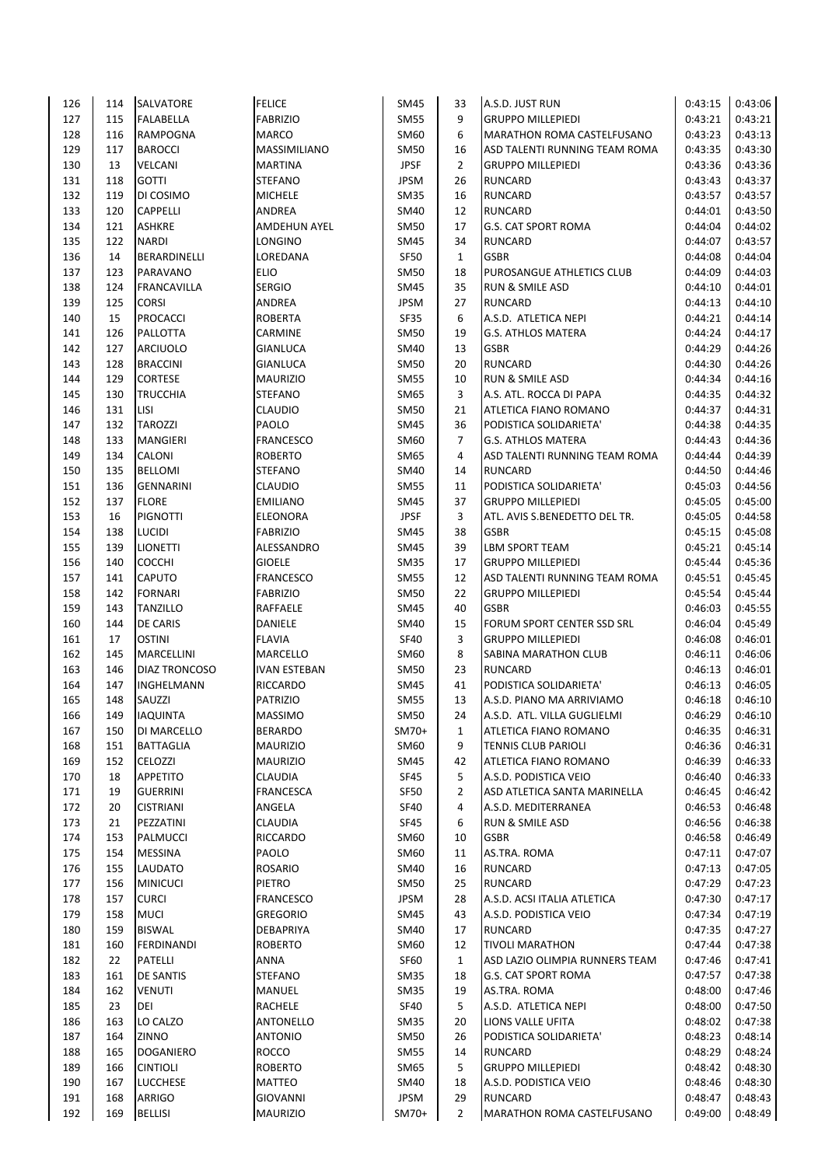| 126 | 114 | <b>SALVATORE</b>     | <b>FELICE</b>       | SM45                       | 33             | A.S.D. JUST RUN                | 0:43:15 | 0:43:06            |
|-----|-----|----------------------|---------------------|----------------------------|----------------|--------------------------------|---------|--------------------|
| 127 | 115 | <b>FALABELLA</b>     | <b>FABRIZIO</b>     | SM55                       | 9              | <b>GRUPPO MILLEPIEDI</b>       | 0:43:21 | 0:43:21            |
| 128 | 116 | <b>RAMPOGNA</b>      | <b>MARCO</b>        | SM60                       | 6              | MARATHON ROMA CASTELFUSANO     | 0:43:23 | 0:43:13            |
| 129 | 117 | <b>BAROCCI</b>       | <b>MASSIMILIANO</b> | <b>SM50</b>                | 16             | ASD TALENTI RUNNING TEAM ROMA  | 0:43:35 | 0:43:30            |
| 130 | 13  | <b>VELCANI</b>       | <b>MARTINA</b>      | <b>JPSF</b>                | $\overline{2}$ | <b>GRUPPO MILLEPIEDI</b>       | 0:43:36 | 0:43:36            |
| 131 | 118 | <b>GOTTI</b>         | STEFANO             | <b>JPSM</b>                | 26             | <b>RUNCARD</b>                 | 0:43:43 | 0:43:37            |
| 132 | 119 | DI COSIMO            | <b>MICHELE</b>      | <b>SM35</b>                | 16             | <b>RUNCARD</b>                 | 0:43:57 | 0:43:57            |
| 133 | 120 | <b>CAPPELLI</b>      | ANDREA              | SM40                       | 12             | <b>RUNCARD</b>                 | 0:44:01 | 0:43:50            |
| 134 | 121 | <b>ASHKRE</b>        | <b>AMDEHUN AYEL</b> | <b>SM50</b>                | 17             | G.S. CAT SPORT ROMA            | 0:44:04 | 0:44:02            |
| 135 | 122 | <b>NARDI</b>         | LONGINO             | SM45                       | 34             | <b>RUNCARD</b>                 | 0:44:07 | 0:43:57            |
| 136 | 14  | BERARDINELLI         | LOREDANA            | SF50                       | $\mathbf{1}$   | <b>GSBR</b>                    | 0:44:08 | 0:44:04            |
| 137 | 123 | PARAVANO             | <b>ELIO</b>         | <b>SM50</b>                | 18             | PUROSANGUE ATHLETICS CLUB      | 0:44:09 | 0:44:03            |
| 138 | 124 | FRANCAVILLA          | <b>SERGIO</b>       | <b>SM45</b>                | 35             | <b>RUN &amp; SMILE ASD</b>     | 0:44:10 | 0:44:01            |
| 139 | 125 | <b>CORSI</b>         | ANDREA              | <b>JPSM</b>                | 27             | <b>RUNCARD</b>                 | 0:44:13 | 0:44:10            |
| 140 | 15  | <b>PROCACCI</b>      | <b>ROBERTA</b>      | <b>SF35</b>                | 6              | A.S.D. ATLETICA NEPI           | 0:44:21 | 0:44:14            |
| 141 | 126 | PALLOTTA             | CARMINE             | <b>SM50</b>                | 19             | <b>G.S. ATHLOS MATERA</b>      | 0:44:24 | 0:44:17            |
| 142 | 127 | <b>ARCIUOLO</b>      | <b>GIANLUCA</b>     | SM40                       | 13             | <b>GSBR</b>                    | 0:44:29 | 0:44:26            |
| 143 | 128 | <b>BRACCINI</b>      | <b>GIANLUCA</b>     | <b>SM50</b>                | 20             | <b>RUNCARD</b>                 | 0:44:30 | 0:44:26            |
| 144 | 129 | <b>CORTESE</b>       | <b>MAURIZIO</b>     | <b>SM55</b>                | 10             | <b>RUN &amp; SMILE ASD</b>     | 0:44:34 | 0:44:16            |
| 145 | 130 | <b>TRUCCHIA</b>      | <b>STEFANO</b>      | SM65                       | 3              | A.S. ATL. ROCCA DI PAPA        | 0:44:35 | 0:44:32            |
| 146 | 131 | LISI                 | <b>CLAUDIO</b>      | <b>SM50</b>                | 21             | ATLETICA FIANO ROMANO          | 0:44:37 | 0:44:31            |
| 147 | 132 | <b>TAROZZI</b>       | PAOLO               | SM45                       | 36             | PODISTICA SOLIDARIETA'         | 0:44:38 | 0:44:35            |
| 148 | 133 | <b>MANGIERI</b>      | <b>FRANCESCO</b>    | SM60                       | $\overline{7}$ | <b>G.S. ATHLOS MATERA</b>      | 0:44:43 | 0:44:36            |
| 149 | 134 | CALONI               | <b>ROBERTO</b>      | SM65                       | 4              | ASD TALENTI RUNNING TEAM ROMA  | 0:44:44 | 0:44:39            |
| 150 | 135 | <b>BELLOMI</b>       | <b>STEFANO</b>      | SM40                       | 14             | <b>RUNCARD</b>                 | 0:44:50 | 0:44:46            |
| 151 | 136 | <b>GENNARINI</b>     | <b>CLAUDIO</b>      | <b>SM55</b>                | 11             | PODISTICA SOLIDARIETA'         | 0:45:03 | 0:44:56            |
| 152 | 137 | <b>FLORE</b>         | <b>EMILIANO</b>     | SM45                       | 37             | <b>GRUPPO MILLEPIEDI</b>       | 0:45:05 | 0:45:00            |
| 153 | 16  | <b>PIGNOTTI</b>      | <b>ELEONORA</b>     | <b>JPSF</b>                | 3              | ATL. AVIS S.BENEDETTO DEL TR.  | 0:45:05 | 0:44:58            |
| 154 | 138 | <b>LUCIDI</b>        | <b>FABRIZIO</b>     | <b>SM45</b>                | 38             | <b>GSBR</b>                    | 0:45:15 | 0:45:08            |
| 155 | 139 | <b>LIONETTI</b>      | ALESSANDRO          | SM45                       | 39             | LBM SPORT TEAM                 | 0:45:21 | 0:45:14            |
| 156 | 140 | <b>COCCHI</b>        | <b>GIOELE</b>       | <b>SM35</b>                | 17             | <b>GRUPPO MILLEPIEDI</b>       | 0:45:44 | 0:45:36            |
| 157 | 141 | <b>CAPUTO</b>        | <b>FRANCESCO</b>    | <b>SM55</b>                | 12             | ASD TALENTI RUNNING TEAM ROMA  | 0:45:51 | 0:45:45            |
| 158 | 142 | <b>FORNARI</b>       | <b>FABRIZIO</b>     | SM50                       | 22             | <b>GRUPPO MILLEPIEDI</b>       | 0:45:54 | 0:45:44            |
| 159 | 143 | <b>TANZILLO</b>      | RAFFAELE            | <b>SM45</b>                | 40             | <b>GSBR</b>                    | 0:46:03 | 0:45:55            |
| 160 | 144 | <b>DE CARIS</b>      | <b>DANIELE</b>      | SM40                       | 15             | FORUM SPORT CENTER SSD SRL     | 0:46:04 | 0:45:49            |
| 161 | 17  | <b>OSTINI</b>        | <b>FLAVIA</b>       | <b>SF40</b>                | 3              | <b>GRUPPO MILLEPIEDI</b>       | 0:46:08 | 0:46:01            |
| 162 | 145 | <b>MARCELLINI</b>    | <b>MARCELLO</b>     | SM60                       | 8              | SABINA MARATHON CLUB           | 0:46:11 | 0:46:06            |
| 163 | 146 | <b>DIAZ TRONCOSO</b> | <b>IVAN ESTEBAN</b> | <b>SM50</b>                | 23             | <b>RUNCARD</b>                 | 0:46:13 | 0:46:01            |
| 164 | 147 | <b>INGHELMANN</b>    | <b>RICCARDO</b>     |                            | 41             | PODISTICA SOLIDARIETA'         | 0:46:13 | 0:46:05            |
|     |     |                      |                     | SM45                       |                |                                |         |                    |
| 165 | 148 | SAUZZI               | <b>PATRIZIO</b>     | <b>SM55</b><br><b>SM50</b> | 13             | A.S.D. PIANO MA ARRIVIAMO      | 0:46:18 | 0:46:10<br>0:46:10 |
| 166 | 149 | <b>IAQUINTA</b>      | <b>MASSIMO</b>      |                            | 24             | A.S.D. ATL. VILLA GUGLIELMI    | 0:46:29 |                    |
| 167 | 150 | DI MARCELLO          | <b>BERARDO</b>      | $SM70+$                    | 1              | ATLETICA FIANO ROMANO          | 0:46:35 | 0:46:31            |
| 168 | 151 | <b>BATTAGLIA</b>     | <b>MAURIZIO</b>     | SM60                       | 9              | <b>TENNIS CLUB PARIOLI</b>     | 0:46:36 | 0:46:31            |
| 169 | 152 | <b>CELOZZI</b>       | <b>MAURIZIO</b>     | <b>SM45</b>                | 42             | <b>ATLETICA FIANO ROMANO</b>   | 0:46:39 | 0:46:33            |
| 170 | 18  | <b>APPETITO</b>      | <b>CLAUDIA</b>      | <b>SF45</b>                | 5              | A.S.D. PODISTICA VEIO          | 0:46:40 | 0:46:33            |
| 171 | 19  | <b>GUERRINI</b>      | <b>FRANCESCA</b>    | SF50                       | $\overline{2}$ | ASD ATLETICA SANTA MARINELLA   | 0:46:45 | 0:46:42            |
| 172 | 20  | <b>CISTRIANI</b>     | ANGELA              | <b>SF40</b>                | 4              | A.S.D. MEDITERRANEA            | 0:46:53 | 0:46:48            |
| 173 | 21  | PEZZATINI            | CLAUDIA             | <b>SF45</b>                | 6              | RUN & SMILE ASD                | 0:46:56 | 0:46:38            |
| 174 | 153 | PALMUCCI             | <b>RICCARDO</b>     | SM60                       | 10             | <b>GSBR</b>                    | 0:46:58 | 0:46:49            |
| 175 | 154 | <b>MESSINA</b>       | PAOLO               | SM60                       | 11             | AS.TRA. ROMA                   | 0:47:11 | 0:47:07            |
| 176 | 155 | <b>LAUDATO</b>       | <b>ROSARIO</b>      | SM40                       | 16             | <b>RUNCARD</b>                 | 0:47:13 | 0:47:05            |
| 177 | 156 | <b>MINICUCI</b>      | <b>PIETRO</b>       | SM50                       | 25             | <b>RUNCARD</b>                 | 0:47:29 | 0:47:23            |
| 178 | 157 | <b>CURCI</b>         | <b>FRANCESCO</b>    | <b>JPSM</b>                | 28             | A.S.D. ACSI ITALIA ATLETICA    | 0:47:30 | 0:47:17            |
| 179 | 158 | <b>MUCI</b>          | <b>GREGORIO</b>     | SM45                       | 43             | A.S.D. PODISTICA VEIO          | 0:47:34 | 0:47:19            |
| 180 | 159 | <b>BISWAL</b>        | DEBAPRIYA           | SM40                       | 17             | <b>RUNCARD</b>                 | 0:47:35 | 0:47:27            |
| 181 | 160 | <b>FERDINANDI</b>    | <b>ROBERTO</b>      | SM60                       | 12             | <b>TIVOLI MARATHON</b>         | 0:47:44 | 0:47:38            |
| 182 | 22  | PATELLI              | <b>ANNA</b>         | SF60                       | $\mathbf{1}$   | ASD LAZIO OLIMPIA RUNNERS TEAM | 0:47:46 | 0:47:41            |
| 183 | 161 | <b>DE SANTIS</b>     | STEFANO             | <b>SM35</b>                | 18             | <b>G.S. CAT SPORT ROMA</b>     | 0:47:57 | 0:47:38            |
| 184 | 162 | <b>VENUTI</b>        | <b>MANUEL</b>       | <b>SM35</b>                | 19             | AS.TRA. ROMA                   | 0:48:00 | 0:47:46            |
| 185 | 23  | DEI                  | <b>RACHELE</b>      | SF40                       | 5              | A.S.D. ATLETICA NEPI           | 0:48:00 | 0:47:50            |
| 186 | 163 | LO CALZO             | ANTONELLO           | <b>SM35</b>                | 20             | LIONS VALLE UFITA              | 0:48:02 | 0:47:38            |
| 187 | 164 | ZINNO                | <b>ANTONIO</b>      | SM50                       | 26             | PODISTICA SOLIDARIETA'         | 0:48:23 | 0:48:14            |
| 188 | 165 | <b>DOGANIERO</b>     | <b>ROCCO</b>        | SM55                       | 14             | RUNCARD                        | 0:48:29 | 0:48:24            |
| 189 | 166 | <b>CINTIOLI</b>      | <b>ROBERTO</b>      | SM65                       | 5              | <b>GRUPPO MILLEPIEDI</b>       | 0:48:42 | 0:48:30            |
| 190 | 167 | <b>LUCCHESE</b>      | <b>MATTEO</b>       | <b>SM40</b>                | 18             | A.S.D. PODISTICA VEIO          | 0:48:46 | 0:48:30            |
| 191 | 168 | <b>ARRIGO</b>        | <b>GIOVANNI</b>     | <b>JPSM</b>                | 29             | <b>RUNCARD</b>                 | 0:48:47 | 0:48:43            |
| 192 | 169 | <b>BELLISI</b>       | <b>MAURIZIO</b>     | SM70+                      | $\overline{2}$ | MARATHON ROMA CASTELFUSANO     | 0:49:00 | 0:48:49            |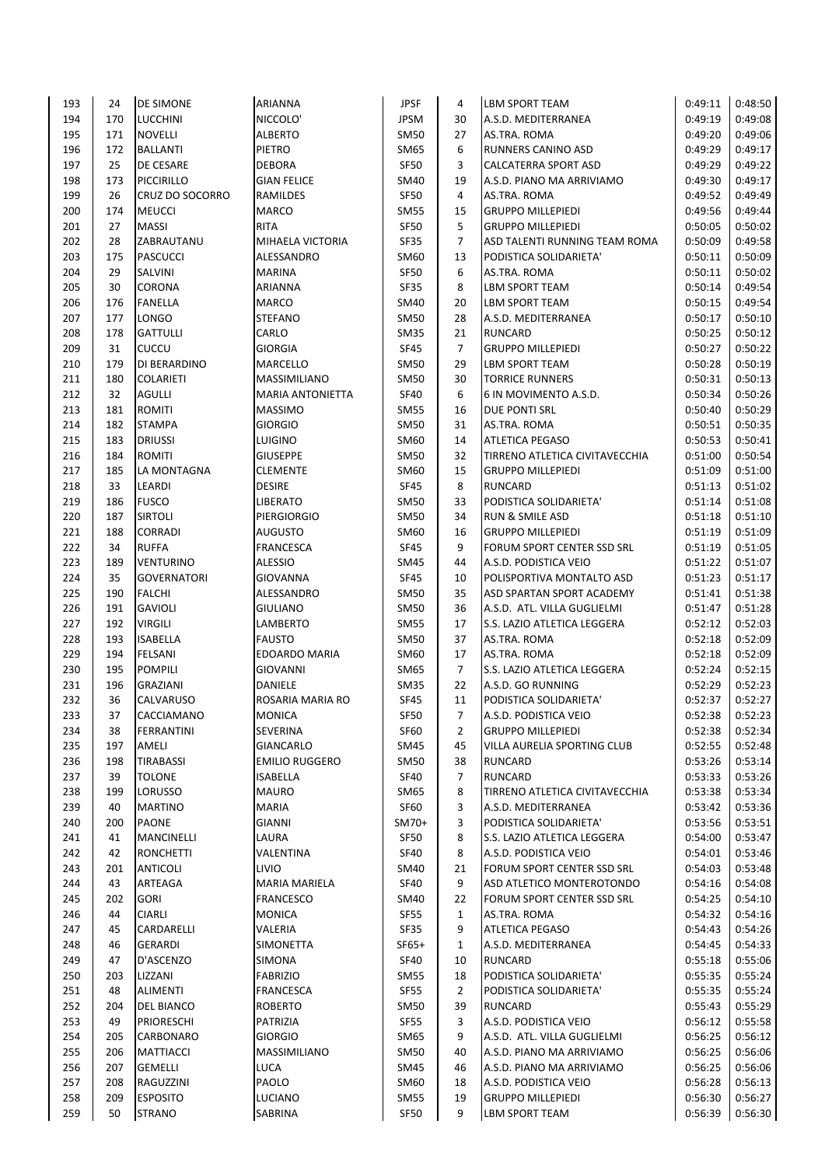| 193        | 24       | <b>DE SIMONE</b>       | <b>ARIANNA</b>                    | <b>JPSF</b>         | 4                    | <b>LBM SPORT TEAM</b>                            | 0:49:11            | 0:48:50            |
|------------|----------|------------------------|-----------------------------------|---------------------|----------------------|--------------------------------------------------|--------------------|--------------------|
| 194        | 170      | <b>LUCCHINI</b>        | NICCOLO'                          | JPSM                | 30                   | A.S.D. MEDITERRANEA                              | 0:49:19            | 0:49:08            |
| 195        | 171      | <b>NOVELLI</b>         | <b>ALBERTO</b>                    | <b>SM50</b>         | 27                   | AS.TRA. ROMA                                     | 0:49:20            | 0:49:06            |
| 196        | 172      | <b>BALLANTI</b>        | PIETRO                            | SM65                | 6                    | RUNNERS CANINO ASD                               | 0:49:29            | 0:49:17            |
| 197        | 25       | DE CESARE              | <b>DEBORA</b>                     | <b>SF50</b>         | 3                    | CALCATERRA SPORT ASD                             | 0:49:29            | 0:49:22            |
| 198        | 173      | PICCIRILLO             | <b>GIAN FELICE</b>                | SM40                | 19                   | A.S.D. PIANO MA ARRIVIAMO                        | 0:49:30            | 0:49:17            |
| 199        | 26       | <b>CRUZ DO SOCORRO</b> | RAMILDES                          | <b>SF50</b>         | 4                    | AS.TRA. ROMA                                     | 0:49:52            | 0:49:49            |
| 200        | 174      | <b>MEUCCI</b>          | <b>MARCO</b>                      | SM55                | 15                   | <b>GRUPPO MILLEPIEDI</b>                         | 0:49:56            | 0:49:44            |
| 201        | 27       | <b>MASSI</b>           | <b>RITA</b>                       | <b>SF50</b>         | 5                    | <b>GRUPPO MILLEPIEDI</b>                         | 0:50:05            | 0:50:02            |
| 202        | 28       | ZABRAUTANU             | MIHAELA VICTORIA                  | <b>SF35</b>         | $\overline{7}$       | ASD TALENTI RUNNING TEAM ROMA                    | 0:50:09            | 0:49:58            |
| 203        | 175      | <b>PASCUCCI</b>        | ALESSANDRO                        | SM60                | 13                   | PODISTICA SOLIDARIETA'                           | 0:50:11            | 0:50:09            |
| 204        | 29       | SALVINI                | <b>MARINA</b>                     | <b>SF50</b>         | 6                    | AS.TRA. ROMA                                     | 0:50:11            | 0:50:02            |
| 205        | 30       | <b>CORONA</b>          | ARIANNA                           | <b>SF35</b>         | 8                    | LBM SPORT TEAM                                   | 0:50:14            | 0:49:54            |
| 206        | 176      | <b>FANELLA</b>         | <b>MARCO</b>                      | SM40                | 20                   | <b>LBM SPORT TEAM</b>                            | 0:50:15            | 0:49:54            |
| 207        | 177      | <b>LONGO</b>           | <b>STEFANO</b>                    | <b>SM50</b>         | 28                   | A.S.D. MEDITERRANEA                              | 0:50:17            | 0:50:10            |
| 208        | 178      | <b>GATTULLI</b>        | CARLO                             | SM35                | 21                   | <b>RUNCARD</b>                                   | 0:50:25            | 0:50:12            |
| 209        | 31       | <b>CUCCU</b>           | <b>GIORGIA</b>                    | <b>SF45</b>         | 7                    | <b>GRUPPO MILLEPIEDI</b>                         | 0:50:27            | 0:50:22            |
| 210        | 179      | <b>DI BERARDINO</b>    | <b>MARCELLO</b>                   | <b>SM50</b>         | 29                   | LBM SPORT TEAM                                   | 0:50:28            | 0:50:19            |
| 211        | 180      | <b>COLARIETI</b>       | <b>MASSIMILIANO</b>               | <b>SM50</b>         | 30                   | <b>TORRICE RUNNERS</b>                           | 0:50:31            | 0:50:13            |
| 212        | 32       | <b>AGULLI</b>          | <b>MARIA ANTONIETTA</b>           | <b>SF40</b>         | 6                    | 6 IN MOVIMENTO A.S.D.                            | 0:50:34            | 0:50:26            |
| 213        | 181      | <b>ROMITI</b>          | <b>MASSIMO</b>                    | SM55                | 16                   | <b>DUE PONTI SRL</b>                             | 0:50:40            | 0:50:29            |
| 214        | 182      | <b>STAMPA</b>          | <b>GIORGIO</b>                    | <b>SM50</b>         | 31                   | AS.TRA. ROMA                                     | 0:50:51            | 0:50:35            |
| 215        | 183      | <b>DRIUSSI</b>         | <b>LUIGINO</b>                    | SM60                | 14                   | <b>ATLETICA PEGASO</b>                           | 0:50:53            | 0:50:41            |
| 216        | 184      | <b>ROMITI</b>          | <b>GIUSEPPE</b>                   | SM50                | 32                   | TIRRENO ATLETICA CIVITAVECCHIA                   | 0:51:00            | 0:50:54            |
| 217        | 185      | LA MONTAGNA            | <b>CLEMENTE</b>                   | SM60                | 15                   | <b>GRUPPO MILLEPIEDI</b>                         | 0:51:09            | 0:51:00            |
| 218        | 33       | LEARDI                 | <b>DESIRE</b>                     | <b>SF45</b>         | 8                    | <b>RUNCARD</b>                                   | 0:51:13            | 0:51:02            |
| 219        | 186      | <b>FUSCO</b>           | <b>LIBERATO</b>                   | SM50                | 33                   | PODISTICA SOLIDARIETA'                           | 0:51:14            | 0:51:08            |
| 220        | 187      | <b>SIRTOLI</b>         | <b>PIERGIORGIO</b>                | <b>SM50</b>         | 34                   | <b>RUN &amp; SMILE ASD</b>                       | 0:51:18            | 0:51:10            |
| 221        | 188      | <b>CORRADI</b>         | <b>AUGUSTO</b>                    | SM60                | 16                   | <b>GRUPPO MILLEPIEDI</b>                         | 0:51:19            | 0:51:09            |
| 222        | 34       | <b>RUFFA</b>           | <b>FRANCESCA</b>                  | <b>SF45</b>         | 9                    | FORUM SPORT CENTER SSD SRL                       | 0:51:19            | 0:51:05            |
| 223        | 189      | <b>VENTURINO</b>       | <b>ALESSIO</b>                    | SM45                | 44                   | A.S.D. PODISTICA VEIO                            | 0:51:22            | 0:51:07            |
| 224        | 35       | <b>GOVERNATORI</b>     | GIOVANNA                          | <b>SF45</b>         | 10                   | POLISPORTIVA MONTALTO ASD                        | 0:51:23            | 0:51:17            |
| 225        | 190      | <b>FALCHI</b>          | ALESSANDRO                        | SM50                | 35                   | ASD SPARTAN SPORT ACADEMY                        | 0:51:41            | 0:51:38            |
| 226        | 191      | <b>GAVIOLI</b>         | <b>GIULIANO</b>                   | <b>SM50</b>         | 36                   | A.S.D. ATL. VILLA GUGLIELMI                      | 0:51:47            | 0:51:28            |
| 227        | 192      | <b>VIRGILI</b>         | LAMBERTO                          | <b>SM55</b>         | 17                   | S.S. LAZIO ATLETICA LEGGERA                      | 0:52:12            | 0:52:03            |
| 228        | 193      | <b>ISABELLA</b>        | <b>FAUSTO</b>                     | <b>SM50</b>         | 37                   |                                                  | 0:52:18            | 0:52:09            |
| 229        | 194      | <b>FELSANI</b>         | <b>EDOARDO MARIA</b>              | SM60                |                      | AS.TRA. ROMA                                     | 0:52:18            | 0:52:09            |
|            |          |                        |                                   |                     | 17                   | AS.TRA. ROMA                                     |                    |                    |
| 230<br>231 | 195      | <b>POMPILI</b>         | <b>GIOVANNI</b><br><b>DANIELE</b> | SM65<br><b>SM35</b> | $\overline{7}$<br>22 | S.S. LAZIO ATLETICA LEGGERA<br>A.S.D. GO RUNNING | 0:52:24<br>0:52:29 | 0:52:15<br>0:52:23 |
|            | 196      | <b>GRAZIANI</b>        | ROSARIA MARIA RO                  | <b>SF45</b>         |                      |                                                  |                    | 0:52:27            |
| 232<br>233 | 36<br>37 | <b>CALVARUSO</b>       |                                   | <b>SF50</b>         | 11<br>$\overline{7}$ | PODISTICA SOLIDARIETA'<br>IA.S.D. PODISTICA VEIO | 0:52:37<br>0:52:38 | 0:52:23            |
|            |          | <b>CACCIAMANO</b>      | <b>MONICA</b>                     |                     |                      |                                                  |                    | 0:52:34            |
| 234        | 38       | <b>FERRANTINI</b>      | SEVERINA                          | SF60                | 2                    | <b>GRUPPO MILLEPIEDI</b>                         | 0:52:38            |                    |
| 235        | 197      | AMELI                  | <b>GIANCARLO</b>                  | SM45                | 45                   | <b>VILLA AURELIA SPORTING CLUB</b>               | 0:52:55            | 0:52:48            |
| 236        | 198      | TIRABASSI              | <b>EMILIO RUGGERO</b>             | <b>SM50</b>         | 38                   | RUNCARD                                          | 0:53:26            | 0:53:14            |
| 237        | 39       | <b>TOLONE</b>          | <b>ISABELLA</b>                   | <b>SF40</b>         | 7                    | <b>RUNCARD</b>                                   | 0:53:33            | 0:53:26            |
| 238        | 199      | <b>LORUSSO</b>         | <b>MAURO</b>                      | SM65                | 8                    | TIRRENO ATLETICA CIVITAVECCHIA                   | 0:53:38            | 0:53:34            |
| 239        | 40       | <b>MARTINO</b>         | <b>MARIA</b>                      | SF60                | 3                    | A.S.D. MEDITERRANEA                              | 0:53:42            | 0:53:36            |
| 240        | 200      | <b>PAONE</b>           | <b>GIANNI</b>                     | SM70+               | 3                    | PODISTICA SOLIDARIETA'                           | 0:53:56            | 0:53:51            |
| 241        | 41       | <b>MANCINELLI</b>      | LAURA                             | SF50                | 8                    | S.S. LAZIO ATLETICA LEGGERA                      | 0:54:00            | 0:53:47            |
| 242        | 42       | <b>RONCHETTI</b>       | VALENTINA                         | SF40                | 8                    | A.S.D. PODISTICA VEIO                            | 0:54:01            | 0:53:46            |
| 243        | 201      | ANTICOLI               | LIVIO                             | SM40                | 21                   | FORUM SPORT CENTER SSD SRL                       | 0:54:03            | 0:53:48            |
| 244        | 43       | ARTEAGA                | <b>MARIA MARIELA</b>              | SF40                | 9                    | ASD ATLETICO MONTEROTONDO                        | 0:54:16            | 0:54:08            |
| 245        | 202      | <b>GORI</b>            | <b>FRANCESCO</b>                  | SM40                | 22                   | FORUM SPORT CENTER SSD SRL                       | 0:54:25            | 0:54:10            |
| 246        | 44       | <b>CIARLI</b>          | <b>MONICA</b>                     | <b>SF55</b>         | $\mathbf{1}$         | AS.TRA. ROMA                                     | 0:54:32            | 0:54:16            |
| 247        | 45       | CARDARELLI             | VALERIA                           | SF35                | 9                    | <b>ATLETICA PEGASO</b>                           | 0:54:43            | 0:54:26            |
| 248        | 46       | <b>GERARDI</b>         | SIMONETTA                         | SF65+               | 1                    | A.S.D. MEDITERRANEA                              | 0:54:45            | 0:54:33            |
| 249        | 47       | D'ASCENZO              | <b>SIMONA</b>                     | SF40                | 10                   | <b>RUNCARD</b>                                   | 0:55:18            | 0:55:06            |
| 250        | 203      | LIZZANI                | <b>FABRIZIO</b>                   | SM55                | 18                   | PODISTICA SOLIDARIETA'                           | 0:55:35            | 0:55:24            |
| 251        | 48       | <b>ALIMENTI</b>        | <b>FRANCESCA</b>                  | SF55                | 2                    | PODISTICA SOLIDARIETA'                           | 0:55:35            | 0:55:24            |
| 252        | 204      | <b>DEL BIANCO</b>      | <b>ROBERTO</b>                    | <b>SM50</b>         | 39                   | <b>RUNCARD</b>                                   | 0:55:43            | 0:55:29            |
| 253        | 49       | PRIORESCHI             | PATRIZIA                          | <b>SF55</b>         | 3                    | A.S.D. PODISTICA VEIO                            | 0:56:12            | 0:55:58            |
| 254        | 205      | <b>CARBONARO</b>       | GIORGIO                           | SM65                | 9                    | A.S.D. ATL. VILLA GUGLIELMI                      | 0:56:25            | 0:56:12            |
| 255        | 206      | MATTIACCI              | MASSIMILIANO                      | SM50                | 40                   | A.S.D. PIANO MA ARRIVIAMO                        | 0:56:25            | 0:56:06            |
| 256        | 207      | <b>GEMELLI</b>         | LUCA                              | SM45                | 46                   | A.S.D. PIANO MA ARRIVIAMO                        | 0:56:25            | 0:56:06            |
| 257        | 208      | RAGUZZINI              | PAOLO                             | SM60                | 18                   | A.S.D. PODISTICA VEIO                            | 0:56:28            | 0:56:13            |
| 258        | 209      | <b>ESPOSITO</b>        | <b>LUCIANO</b>                    | SM55                | 19                   | <b>GRUPPO MILLEPIEDI</b>                         | 0:56:30            | 0:56:27            |
| 259        | 50       | <b>STRANO</b>          | SABRINA                           | SF50                | 9                    | LBM SPORT TEAM                                   | 0:56:39            | 0:56:30            |
|            |          |                        |                                   |                     |                      |                                                  |                    |                    |